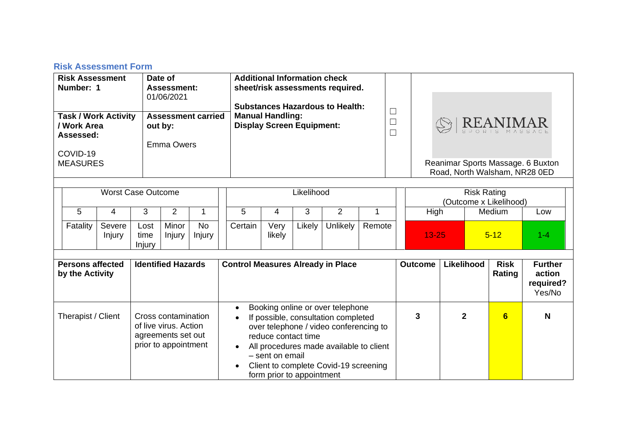## **Risk Assessment Form**

| <b>Risk Assessment</b><br>Number: 1<br><b>Task / Work Activity</b><br>/ Work Area<br>Assessed:<br>COVID-19<br><b>MEASURES</b> |                                                                       |                                                                                            | Date of<br><b>Assessment:</b><br>01/06/2021<br><b>Assessment carried</b><br>out by:<br><b>Emma Owers</b> |                        |                                                                                                                                                                                                                                                                              | <b>Additional Information check</b><br>sheet/risk assessments required.<br><b>Substances Hazardous to Health:</b><br><b>Manual Handling:</b><br><b>Display Screen Equipment:</b> |        |                                              | $\Box$<br>$\Box$ | $\textcircled{S} \operatorname{\texttt{REANIMAR}}_{\text{\tiny\text{SPORIS}~MAS SAGE}}$<br>Reanimar Sports Massage. 6 Buxton<br>Road, North Walsham, NR28 0ED |              |                |         |        |     |
|-------------------------------------------------------------------------------------------------------------------------------|-----------------------------------------------------------------------|--------------------------------------------------------------------------------------------|----------------------------------------------------------------------------------------------------------|------------------------|------------------------------------------------------------------------------------------------------------------------------------------------------------------------------------------------------------------------------------------------------------------------------|----------------------------------------------------------------------------------------------------------------------------------------------------------------------------------|--------|----------------------------------------------|------------------|---------------------------------------------------------------------------------------------------------------------------------------------------------------|--------------|----------------|---------|--------|-----|
| <b>Worst Case Outcome</b>                                                                                                     |                                                                       |                                                                                            | Likelihood                                                                                               |                        |                                                                                                                                                                                                                                                                              |                                                                                                                                                                                  |        | <b>Risk Rating</b><br>(Outcome x Likelihood) |                  |                                                                                                                                                               |              |                |         |        |     |
| 5                                                                                                                             | 4                                                                     | 3                                                                                          | $\overline{2}$                                                                                           | 1                      | 5                                                                                                                                                                                                                                                                            | 4                                                                                                                                                                                | 3      | $\overline{2}$                               | 1                |                                                                                                                                                               | High         |                |         | Medium | Low |
| Fatality                                                                                                                      | Severe<br>Injury                                                      | Lost<br>time<br>Injury                                                                     | Minor<br>Injury                                                                                          | <b>No</b><br>Injury    | Certain                                                                                                                                                                                                                                                                      | Very<br>likely                                                                                                                                                                   | Likely | Unlikely                                     | Remote           | $13 - 25$<br>$5 - 12$                                                                                                                                         |              |                | $1 - 4$ |        |     |
| <b>Persons affected</b>                                                                                                       |                                                                       |                                                                                            |                                                                                                          |                        |                                                                                                                                                                                                                                                                              |                                                                                                                                                                                  |        | <b>Outcome</b>                               | Likelihood       |                                                                                                                                                               | <b>Risk</b>  | <b>Further</b> |         |        |     |
| by the Activity                                                                                                               | <b>Identified Hazards</b><br><b>Control Measures Already in Place</b> |                                                                                            |                                                                                                          |                        |                                                                                                                                                                                                                                                                              |                                                                                                                                                                                  |        |                                              | Rating           | action<br>required?<br>Yes/No                                                                                                                                 |              |                |         |        |     |
| Therapist / Client                                                                                                            |                                                                       | Cross contamination<br>of live virus, Action<br>agreements set out<br>prior to appointment |                                                                                                          | $\bullet$<br>$\bullet$ | Booking online or over telephone<br>If possible, consultation completed<br>over telephone / video conferencing to<br>reduce contact time<br>All procedures made available to client<br>- sent on email<br>Client to complete Covid-19 screening<br>form prior to appointment |                                                                                                                                                                                  |        |                                              | 3                |                                                                                                                                                               | $\mathbf{2}$ | 6              | N       |        |     |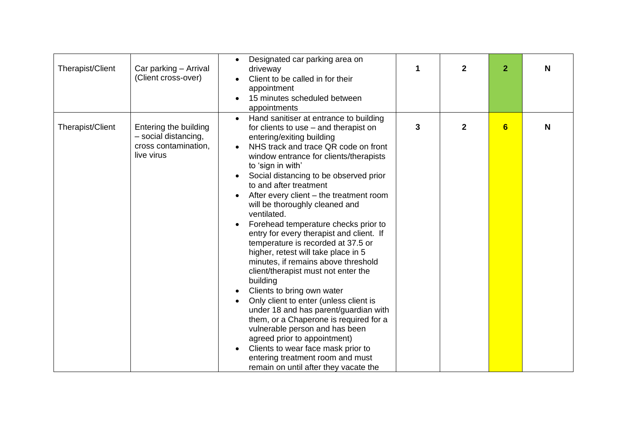| Therapist/Client | Car parking - Arrival<br>(Client cross-over)                                        | Designated car parking area on<br>$\bullet$<br>driveway<br>Client to be called in for their<br>appointment<br>15 minutes scheduled between<br>appointments                                                                                                                                                                                                                                                                                                                                                                                                                                                                                                                                                                                                                                                                                                                                                                                                                                                               | 1 | $\overline{2}$ | $\overline{2}$ | N |
|------------------|-------------------------------------------------------------------------------------|--------------------------------------------------------------------------------------------------------------------------------------------------------------------------------------------------------------------------------------------------------------------------------------------------------------------------------------------------------------------------------------------------------------------------------------------------------------------------------------------------------------------------------------------------------------------------------------------------------------------------------------------------------------------------------------------------------------------------------------------------------------------------------------------------------------------------------------------------------------------------------------------------------------------------------------------------------------------------------------------------------------------------|---|----------------|----------------|---|
| Therapist/Client | Entering the building<br>- social distancing,<br>cross contamination,<br>live virus | Hand sanitiser at entrance to building<br>$\bullet$<br>for clients to use – and therapist on<br>entering/exiting building<br>NHS track and trace QR code on front<br>window entrance for clients/therapists<br>to 'sign in with'<br>Social distancing to be observed prior<br>to and after treatment<br>After every client – the treatment room<br>will be thoroughly cleaned and<br>ventilated.<br>Forehead temperature checks prior to<br>$\bullet$<br>entry for every therapist and client. If<br>temperature is recorded at 37.5 or<br>higher, retest will take place in 5<br>minutes, if remains above threshold<br>client/therapist must not enter the<br>building<br>Clients to bring own water<br>Only client to enter (unless client is<br>under 18 and has parent/guardian with<br>them, or a Chaperone is required for a<br>vulnerable person and has been<br>agreed prior to appointment)<br>Clients to wear face mask prior to<br>entering treatment room and must<br>remain on until after they vacate the | 3 | $\mathbf 2$    | 6              | N |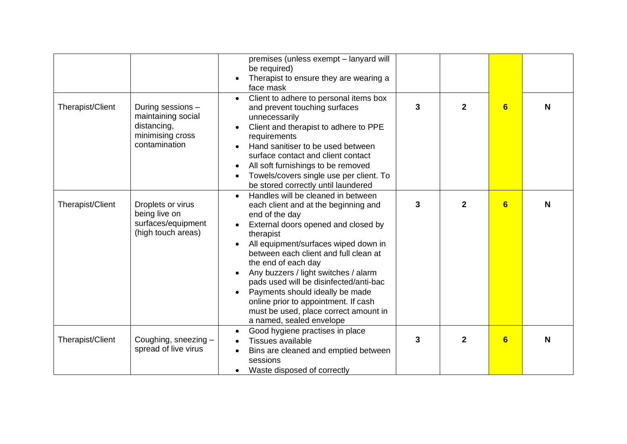|                  |                                                                                             | premises (unless exempt - lanyard will<br>be required)<br>Therapist to ensure they are wearing a<br>face mask                                                                                                                                                                                                                                                                                                                                                                                           |   |                |                  |   |
|------------------|---------------------------------------------------------------------------------------------|---------------------------------------------------------------------------------------------------------------------------------------------------------------------------------------------------------------------------------------------------------------------------------------------------------------------------------------------------------------------------------------------------------------------------------------------------------------------------------------------------------|---|----------------|------------------|---|
| Therapist/Client | During sessions -<br>maintaining social<br>distancing,<br>minimising cross<br>contamination | Client to adhere to personal items box<br>and prevent touching surfaces<br>unnecessarily<br>Client and therapist to adhere to PPE<br>$\bullet$<br>requirements<br>Hand sanitiser to be used between<br>surface contact and client contact<br>All soft furnishings to be removed<br>$\bullet$<br>Towels/covers single use per client. To<br>be stored correctly until laundered                                                                                                                          | 3 | $\overline{2}$ | $6\phantom{1}$   | N |
| Therapist/Client | Droplets or virus<br>being live on<br>surfaces/equipment<br>(high touch areas)              | Handles will be cleaned in between<br>$\bullet$<br>each client and at the beginning and<br>end of the day<br>External doors opened and closed by<br>therapist<br>All equipment/surfaces wiped down in<br>between each client and full clean at<br>the end of each day<br>Any buzzers / light switches / alarm<br>pads used will be disinfected/anti-bac<br>Payments should ideally be made<br>online prior to appointment. If cash<br>must be used, place correct amount in<br>a named, sealed envelope | 3 | $\overline{2}$ | 6                | N |
| Therapist/Client | Coughing, sneezing -<br>spread of live virus                                                | Good hygiene practises in place<br>$\bullet$<br>Tissues available<br>Bins are cleaned and emptied between<br>sessions<br>Waste disposed of correctly<br>$\bullet$                                                                                                                                                                                                                                                                                                                                       | 3 | $\overline{2}$ | $6 \overline{6}$ | N |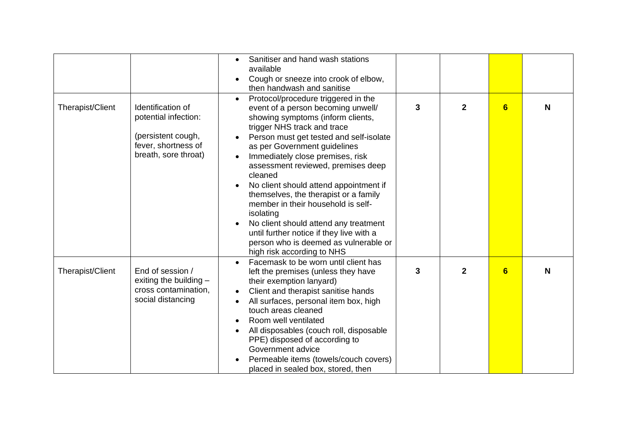|                  |                                                                                                                | Sanitiser and hand wash stations<br>$\bullet$<br>available<br>Cough or sneeze into crook of elbow,<br>$\bullet$<br>then handwash and sanitise                                                                                                                                                                                                                                                                                                                                                                                                                                                                                |   |                |                |   |
|------------------|----------------------------------------------------------------------------------------------------------------|------------------------------------------------------------------------------------------------------------------------------------------------------------------------------------------------------------------------------------------------------------------------------------------------------------------------------------------------------------------------------------------------------------------------------------------------------------------------------------------------------------------------------------------------------------------------------------------------------------------------------|---|----------------|----------------|---|
| Therapist/Client | Identification of<br>potential infection:<br>(persistent cough,<br>fever, shortness of<br>breath, sore throat) | Protocol/procedure triggered in the<br>event of a person becoming unwell/<br>showing symptoms (inform clients,<br>trigger NHS track and trace<br>Person must get tested and self-isolate<br>as per Government guidelines<br>Immediately close premises, risk<br>$\bullet$<br>assessment reviewed, premises deep<br>cleaned<br>No client should attend appointment if<br>themselves, the therapist or a family<br>member in their household is self-<br>isolating<br>No client should attend any treatment<br>until further notice if they live with a<br>person who is deemed as vulnerable or<br>high risk according to NHS | 3 | $\overline{2}$ | $6\phantom{a}$ | N |
| Therapist/Client | End of session /<br>exiting the building $-$<br>cross contamination,<br>social distancing                      | Facemask to be worn until client has<br>left the premises (unless they have<br>their exemption lanyard)<br>Client and therapist sanitise hands<br>$\bullet$<br>All surfaces, personal item box, high<br>touch areas cleaned<br>Room well ventilated<br>All disposables (couch roll, disposable<br>PPE) disposed of according to<br>Government advice<br>Permeable items (towels/couch covers)<br>placed in sealed box, stored, then                                                                                                                                                                                          | 3 | $\overline{2}$ | $6\phantom{1}$ | N |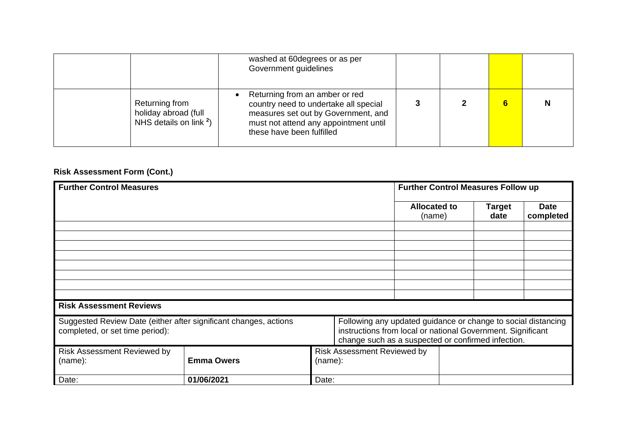|                                                                     | washed at 60 degrees or as per<br>Government guidelines                                                                                                                              |  |  |
|---------------------------------------------------------------------|--------------------------------------------------------------------------------------------------------------------------------------------------------------------------------------|--|--|
| Returning from<br>holiday abroad (full<br>NHS details on link $2$ ) | Returning from an amber or red<br>country need to undertake all special<br>measures set out by Government, and<br>must not attend any appointment until<br>these have been fulfilled |  |  |

## **Risk Assessment Form (Cont.)**

| <b>Further Control Measures</b>                                                                     | <b>Further Control Measures Follow up</b>                                                                                                                                          |         |                                    |                               |  |                |                          |
|-----------------------------------------------------------------------------------------------------|------------------------------------------------------------------------------------------------------------------------------------------------------------------------------------|---------|------------------------------------|-------------------------------|--|----------------|--------------------------|
|                                                                                                     |                                                                                                                                                                                    |         |                                    | <b>Allocated to</b><br>(name) |  | Target<br>date | <b>Date</b><br>completed |
|                                                                                                     |                                                                                                                                                                                    |         |                                    |                               |  |                |                          |
|                                                                                                     |                                                                                                                                                                                    |         |                                    |                               |  |                |                          |
|                                                                                                     |                                                                                                                                                                                    |         |                                    |                               |  |                |                          |
|                                                                                                     |                                                                                                                                                                                    |         |                                    |                               |  |                |                          |
|                                                                                                     |                                                                                                                                                                                    |         |                                    |                               |  |                |                          |
| <b>Risk Assessment Reviews</b>                                                                      |                                                                                                                                                                                    |         |                                    |                               |  |                |                          |
| Suggested Review Date (either after significant changes, actions<br>completed, or set time period): | Following any updated guidance or change to social distancing<br>instructions from local or national Government. Significant<br>change such as a suspected or confirmed infection. |         |                                    |                               |  |                |                          |
| <b>Risk Assessment Reviewed by</b><br>(name):                                                       | <b>Emma Owers</b>                                                                                                                                                                  | (name): | <b>Risk Assessment Reviewed by</b> |                               |  |                |                          |
| Date:                                                                                               | 01/06/2021                                                                                                                                                                         | Date:   |                                    |                               |  |                |                          |